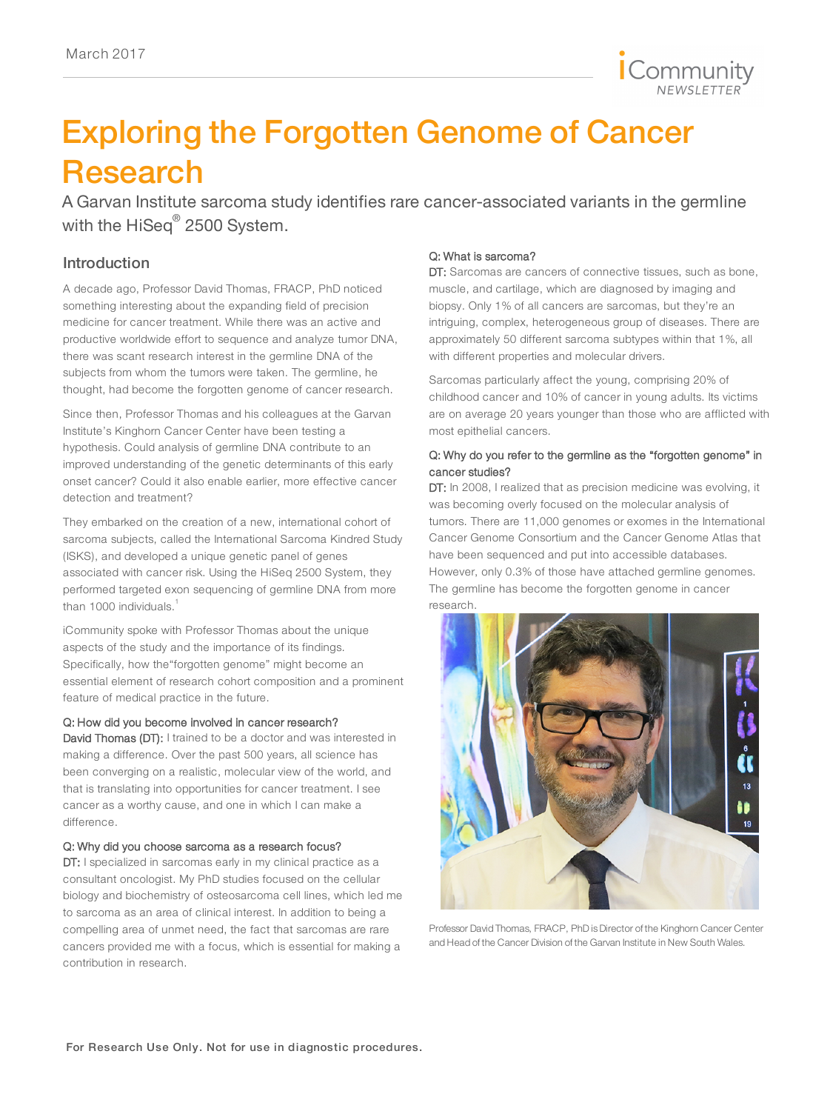

# Exploring the Forgotten Genome of Cancer Research

A Garvan Institute sarcoma study identifies rare cancer-associated variants in the germline with the HiSeq<sup>®</sup> 2500 System.

# Introduction

A decade ago, Professor David Thomas, FRACP, PhD noticed something interesting about the expanding field of precision medicine for cancer treatment. While there was an active and productive worldwide effort to sequence and analyze tumor DNA, there was scant research interest in the germline DNA of the subjects from whom the tumors were taken. The germline, he thought, had become the forgotten genome of cancer research.

Since then, Professor Thomas and his colleagues at the Garvan Institute's Kinghorn Cancer Center have been testing a hypothesis. Could analysis of germline DNA contribute to an improved understanding of the genetic determinants of this early onset cancer? Could it also enable earlier, more effective cancer detection and treatment?

They embarked on the creation of a new, international cohort of sarcoma subjects, called the International Sarcoma Kindred Study (ISKS), and developed a unique genetic panel of genes associated with cancer risk. Using the HiSeq 2500 System, they performed targeted exon sequencing of germline DNA from more than 1000 individuals.<sup>1</sup>

iCommunity spoke with Professor Thomas about the unique aspects of the study and the importance of its findings. Specifically, how the"forgotten genome" might become an essential element of research cohort composition and a prominent feature of medical practice in the future.

#### Q: How did you become involved in cancer research?

David Thomas (DT): I trained to be a doctor and was interested in making a difference. Over the past 500 years, all science has been converging on a realistic, molecular view of the world, and that is translating into opportunities for cancer treatment. I see cancer as a worthy cause, and one in which I can make a difference.

#### Q: Why did you choose sarcoma as a research focus?

DT: I specialized in sarcomas early in my clinical practice as a consultant oncologist. My PhD studies focused on the cellular biology and biochemistry of osteosarcoma cell lines, which led me to sarcoma as an area of clinical interest. In addition to being a compelling area of unmet need, the fact that sarcomas are rare cancers provided me with a focus, which is essential for making a contribution in research.

#### Q: What is sarcoma?

DT: Sarcomas are cancers of connective tissues, such as bone, muscle, and cartilage, which are diagnosed by imaging and biopsy. Only 1% of all cancers are sarcomas, but they're an intriguing, complex, heterogeneous group of diseases. There are approximately 50 different sarcoma subtypes within that 1%, all with different properties and molecular drivers.

Sarcomas particularly affect the young, comprising 20% of childhood cancer and 10% of cancer in young adults. Its victims are on average 20 years younger than those who are afflicted with most epithelial cancers.

## Q: Why do you refer to the germline as the "forgotten genome" in cancer studies?

DT: In 2008, I realized that as precision medicine was evolving, it was becoming overly focused on the molecular analysis of tumors. There are 11,000 genomes or exomes in the International Cancer Genome Consortium and the Cancer Genome Atlas that have been sequenced and put into accessible databases. However, only 0.3% of those have attached germline genomes. The germline has become the forgotten genome in cancer research.



Professor David Thomas, FRACP, PhD is Director of the Kinghorn Cancer Center and Head of the Cancer Division of the Garvan Institute in New South Wales.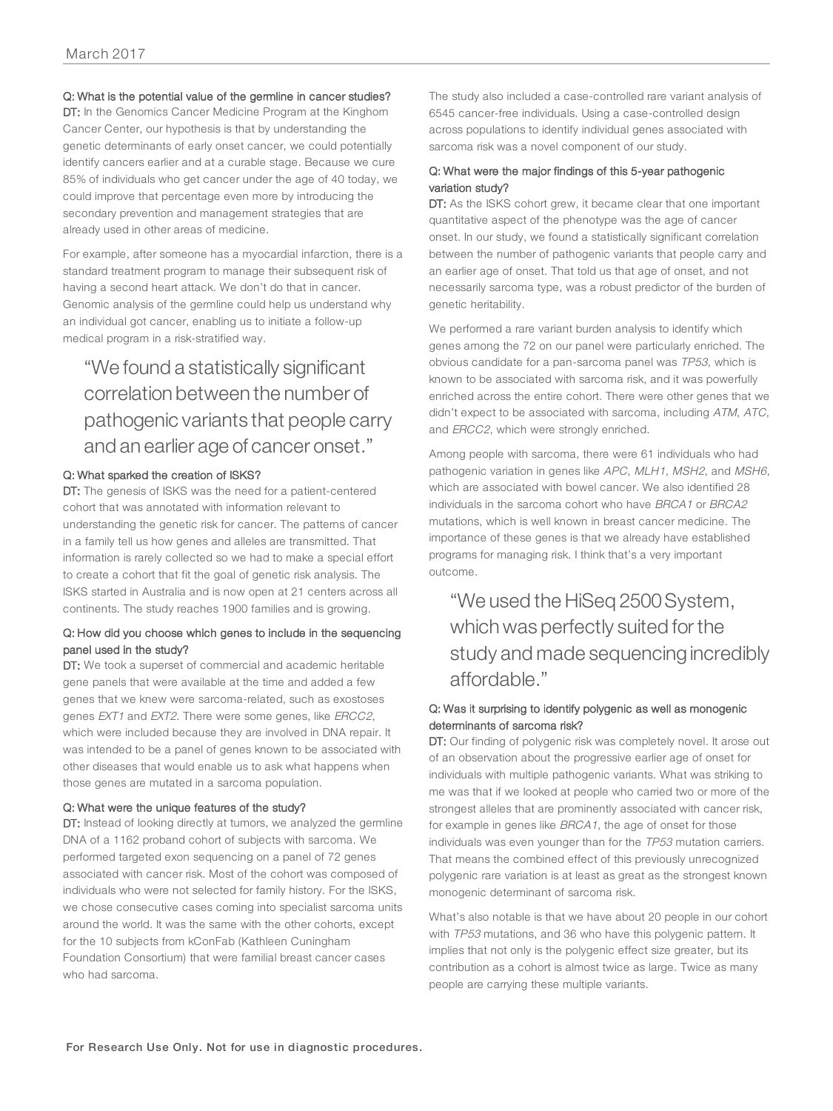#### Q: What is the potential value of the germline in cancer studies?

DT: In the Genomics Cancer Medicine Program at the Kinghorn Cancer Center, our hypothesis is that by understanding the genetic determinants of early onset cancer, we could potentially identify cancers earlier and at a curable stage. Because we cure 85% of individuals who get cancer under the age of 40 today, we could improve that percentage even more by introducing the secondary prevention and management strategies that are already used in other areas of medicine.

For example, after someone has a myocardial infarction, there is a standard treatment program to manage their subsequent risk of having a second heart attack. We don't do that in cancer. Genomic analysis of the germline could help us understand why an individual got cancer, enabling us to initiate a follow-up medical program in a risk-stratified way.

# "We found a statistically significant correlation between the number of pathogenic variants that people carry and an earlier age of cancer onset."

#### Q: What sparked the creation of ISKS?

DT: The genesis of ISKS was the need for a patient-centered cohort that was annotated with information relevant to understanding the genetic risk for cancer. The patterns of cancer in a family tell us how genes and alleles are transmitted. That information is rarely collected so we had to make a special effort to create a cohort that fit the goal of genetic risk analysis. The ISKS started in Australia and is now open at 21 centers across all continents. The study reaches 1900 families and is growing.

## Q: How did you choose which genes to include in the sequencing panel used in the study?

DT: We took a superset of commercial and academic heritable gene panels that were available at the time and added a few genes that we knew were sarcoma-related, such as exostoses genes EXT1 and EXT2. There were some genes, like ERCC2, which were included because they are involved in DNA repair. It was intended to be a panel of genes known to be associated with other diseases that would enable us to ask what happens when those genes are mutated in a sarcoma population.

#### Q: What were the unique features of the study?

DT: Instead of looking directly at tumors, we analyzed the germline DNA of a 1162 proband cohort of subjects with sarcoma. We performed targeted exon sequencing on a panel of 72 genes associated with cancer risk. Most of the cohort was composed of individuals who were not selected for family history. For the ISKS, we chose consecutive cases coming into specialist sarcoma units around the world. It was the same with the other cohorts, except for the 10 subjects from kConFab (Kathleen Cuningham Foundation Consortium) that were familial breast cancer cases who had sarcoma.

The study also included a case-controlled rare variant analysis of 6545 cancer-free individuals. Using a case-controlled design across populations to identify individual genes associated with sarcoma risk was a novel component of our study.

#### Q: What were the major findings of this 5-year pathogenic variation study?

DT: As the ISKS cohort grew, it became clear that one important quantitative aspect of the phenotype was the age of cancer onset. In our study, we found a statistically significant correlation between the number of pathogenic variants that people carry and an earlier age of onset. That told us that age of onset, and not necessarily sarcoma type, was a robust predictor of the burden of genetic heritability.

We performed a rare variant burden analysis to identify which genes among the 72 on our panel were particularly enriched. The obvious candidate for a pan-sarcoma panel was TP53, which is known to be associated with sarcoma risk, and it was powerfully enriched across the entire cohort. There were other genes that we didn't expect to be associated with sarcoma, including ATM, ATC, and ERCC2, which were strongly enriched.

Among people with sarcoma, there were 61 individuals who had pathogenic variation in genes like APC, MLH1, MSH2, and MSH6, which are associated with bowel cancer. We also identified 28 individuals in the sarcoma cohort who have BRCA1 or BRCA2 mutations, which is well known in breast cancer medicine. The importance of these genes is that we already have established programs for managing risk. I think that's a very important outcome.

"We used the HiSeq 2500System, which was perfectly suited for the study and made sequencing incredibly affordable."

# Q: Was it surprising to identify polygenic as well as monogenic determinants of sarcoma risk?

DT: Our finding of polygenic risk was completely novel. It arose out of an observation about the progressive earlier age of onset for individuals with multiple pathogenic variants. What was striking to me was that if we looked at people who carried two or more of the strongest alleles that are prominently associated with cancer risk, for example in genes like BRCA1, the age of onset for those individuals was even younger than for the TP53 mutation carriers. That means the combined effect of this previously unrecognized polygenic rare variation is at least as great as the strongest known monogenic determinant of sarcoma risk.

What's also notable is that we have about 20 people in our cohort with TP53 mutations, and 36 who have this polygenic pattern. It implies that not only is the polygenic effect size greater, but its contribution as a cohort is almost twice as large. Twice as many people are carrying these multiple variants.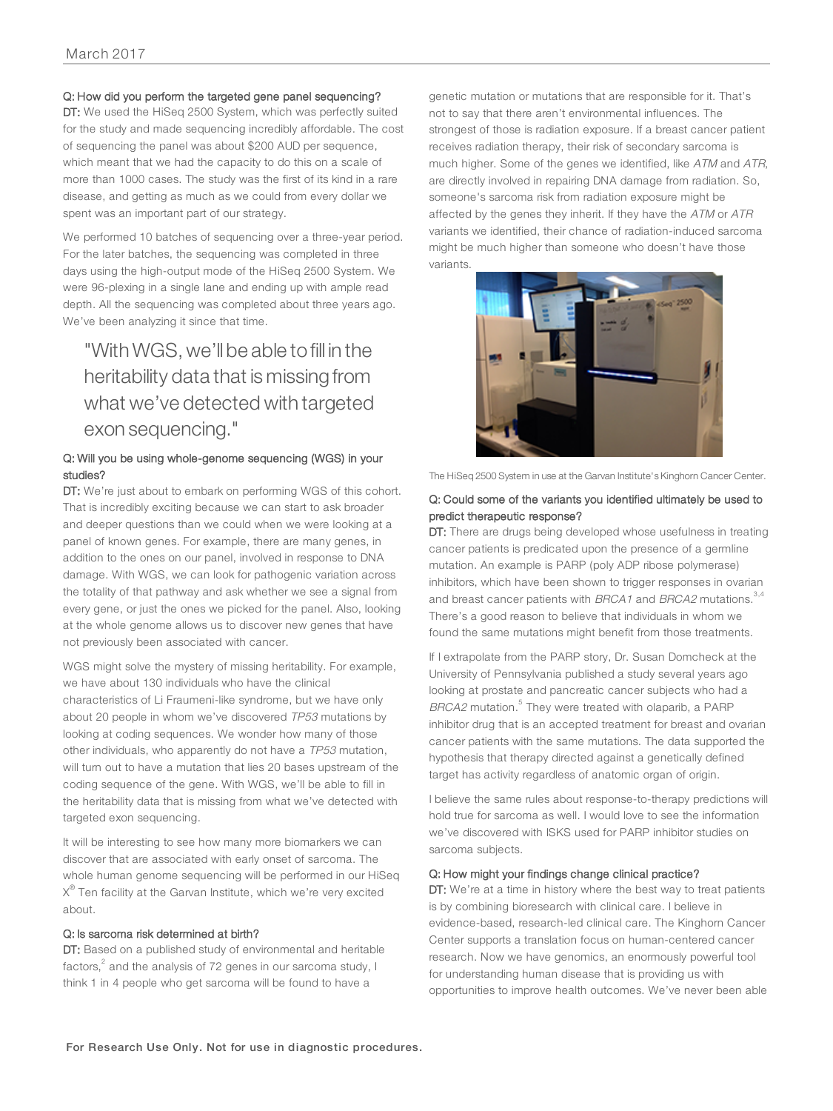#### Q: How did you perform the targeted gene panel sequencing?

DT: We used the HiSeq 2500 System, which was perfectly suited for the study and made sequencing incredibly affordable. The cost of sequencing the panel was about \$200 AUD per sequence, which meant that we had the capacity to do this on a scale of more than 1000 cases. The study was the first of its kind in a rare disease, and getting as much as we could from every dollar we spent was an important part of our strategy.

We performed 10 batches of sequencing over a three-year period. For the later batches, the sequencing was completed in three days using the high-output mode of the HiSeq 2500 System. We were 96-plexing in a single lane and ending up with ample read depth. All the sequencing was completed about three years ago. We've been analyzing it since that time.

# "With WGS, we'll be able to fill in the heritability data that is missing from what we've detected with targeted exon sequencing."

#### Q: Will you be using whole-genome sequencing (WGS) in your studies?

DT: We're just about to embark on performing WGS of this cohort. That is incredibly exciting because we can start to ask broader and deeper questions than we could when we were looking at a panel of known genes. For example, there are many genes, in addition to the ones on our panel, involved in response to DNA damage. With WGS, we can look for pathogenic variation across the totality of that pathway and ask whether we see a signal from every gene, or just the ones we picked for the panel. Also, looking at the whole genome allows us to discover new genes that have not previously been associated with cancer.

WGS might solve the mystery of missing heritability. For example, we have about 130 individuals who have the clinical characteristics of Li Fraumeni-like syndrome, but we have only about 20 people in whom we've discovered TP53 mutations by looking at coding sequences. We wonder how many of those other individuals, who apparently do not have a TP53 mutation, will turn out to have a mutation that lies 20 bases upstream of the coding sequence of the gene. With WGS, we'll be able to fill in the heritability data that is missing from what we've detected with targeted exon sequencing.

It will be interesting to see how many more biomarkers we can discover that are associated with early onset of sarcoma. The whole human genome sequencing will be performed in our HiSeq  $\chi^\circledast$  Ten facility at the Garvan Institute, which we're very excited about.

#### Q: Is sarcoma risk determined at birth?

DT: Based on a published study of environmental and heritable factors, $\degree$  and the analysis of 72 genes in our sarcoma study, I think 1 in 4 people who get sarcoma will be found to have a

genetic mutation or mutations that are responsible for it. That's not to say that there aren't environmental influences. The strongest of those is radiation exposure. If a breast cancer patient receives radiation therapy, their risk of secondary sarcoma is much higher. Some of the genes we identified, like ATM and ATR, are directly involved in repairing DNA damage from radiation. So, someone's sarcoma risk from radiation exposure might be affected by the genes they inherit. If they have the ATM or ATR variants we identified, their chance of radiation-induced sarcoma might be much higher than someone who doesn't have those variants.



The HiSeq 2500 System in use at the Garvan Institute's Kinghorn Cancer Center.

#### Q: Could some of the variants you identified ultimately be used to predict therapeutic response?

DT: There are drugs being developed whose usefulness in treating cancer patients is predicated upon the presence of a germline mutation. An example is PARP (poly ADP ribose polymerase) inhibitors, which have been shown to trigger responses in ovarian and breast cancer patients with BRCA1 and BRCA2 mutations.<sup>3,4</sup> There's a good reason to believe that individuals in whom we found the same mutations might benefit from those treatments.

If I extrapolate from the PARP story, Dr. Susan Domcheck at the University of Pennsylvania published a study several years ago looking at prostate and pancreatic cancer subjects who had a BRCA2 mutation.<sup>5</sup> They were treated with olaparib, a PARP inhibitor drug that is an accepted treatment for breast and ovarian cancer patients with the same mutations. The data supported the hypothesis that therapy directed against a genetically defined target has activity regardless of anatomic organ of origin.

I believe the same rules about response-to-therapy predictions will hold true for sarcoma as well. I would love to see the information we've discovered with ISKS used for PARP inhibitor studies on sarcoma subjects.

#### Q: How might your findings change clinical practice?

DT: We're at a time in history where the best way to treat patients is by combining bioresearch with clinical care. I believe in evidence-based, research-led clinical care. The Kinghorn Cancer Center supports a translation focus on human-centered cancer research. Now we have genomics, an enormously powerful tool for understanding human disease that is providing us with opportunities to improve health outcomes. We've never been able